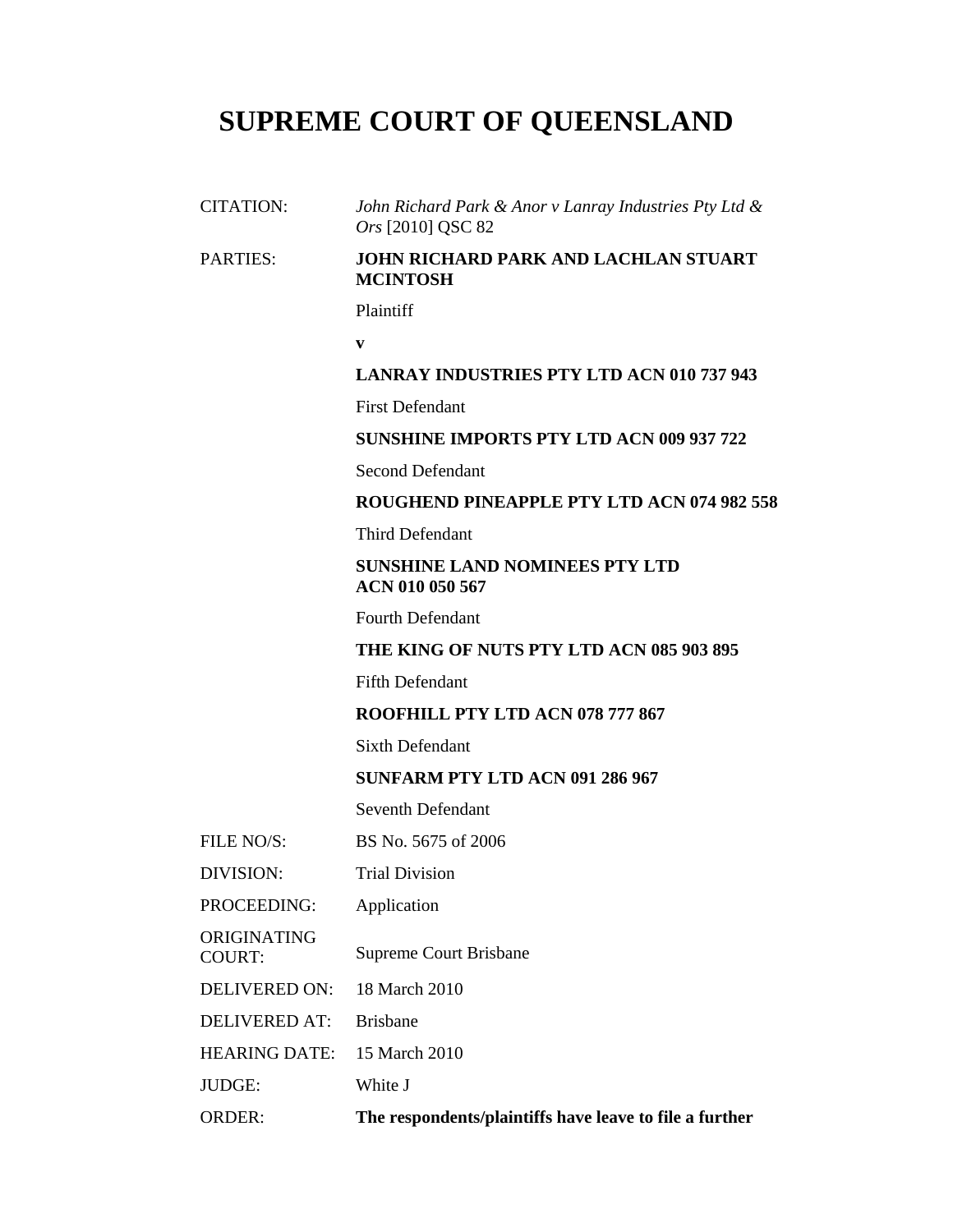# **SUPREME COURT OF QUEENSLAND**

CITATION: *John Richard Park & Anor v Lanray Industries Pty Ltd & Ors* [2010] QSC 82

## PARTIES: **JOHN RICHARD PARK AND LACHLAN STUART MCINTOSH**

Plaintiff

**v** 

### **LANRAY INDUSTRIES PTY LTD ACN 010 737 943**

First Defendant

## **SUNSHINE IMPORTS PTY LTD ACN 009 937 722**

Second Defendant

### **ROUGHEND PINEAPPLE PTY LTD ACN 074 982 558**

Third Defendant

# **SUNSHINE LAND NOMINEES PTY LTD ACN 010 050 567**

Fourth Defendant

## **THE KING OF NUTS PTY LTD ACN 085 903 895**

Fifth Defendant

## **ROOFHILL PTY LTD ACN 078 777 867**

Sixth Defendant

## **SUNFARM PTY LTD ACN 091 286 967**

Seventh Defendant

- FILE NO/S: BS No. 5675 of 2006
- DIVISION: Trial Division
- PROCEEDING: Application

ORIGINATING COURT: Supreme Court Brisbane

DELIVERED ON: 18 March 2010

DELIVERED AT: Brisbane

HEARING DATE: 15 March 2010

JUDGE: White J

ORDER: **The respondents/plaintiffs have leave to file a further**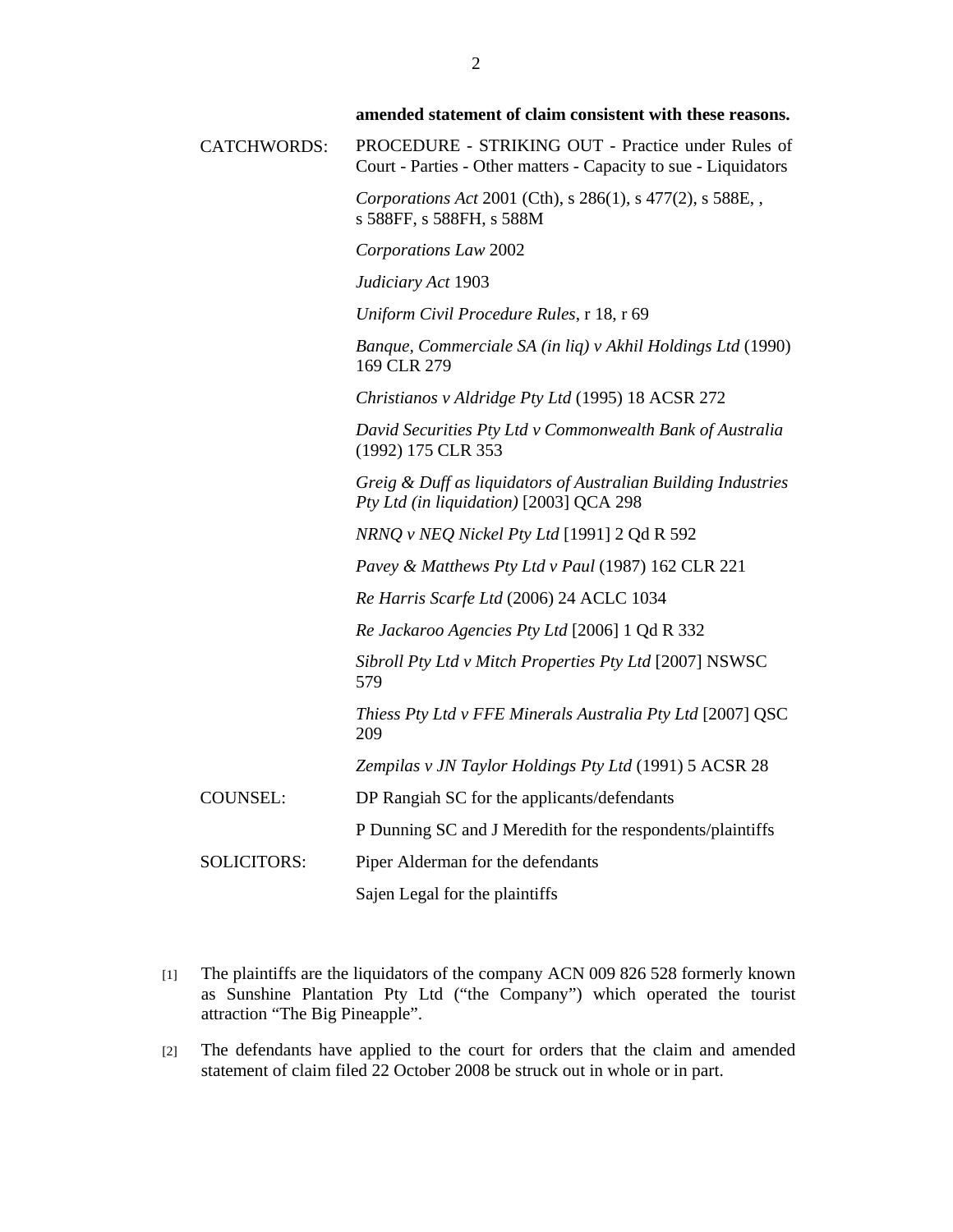|                    | amended statement of claim consistent with these reasons.                                                             |
|--------------------|-----------------------------------------------------------------------------------------------------------------------|
| CATCHWORDS:        | PROCEDURE - STRIKING OUT - Practice under Rules of<br>Court - Parties - Other matters - Capacity to sue - Liquidators |
|                    | Corporations Act 2001 (Cth), s 286(1), s 477(2), s 588E, ,<br>s 588FF, s 588FH, s 588M                                |
|                    | Corporations Law 2002                                                                                                 |
|                    | Judiciary Act 1903                                                                                                    |
|                    | Uniform Civil Procedure Rules, r 18, r 69                                                                             |
|                    | Banque, Commerciale SA (in liq) v Akhil Holdings Ltd (1990)<br>169 CLR 279                                            |
|                    | Christianos v Aldridge Pty Ltd (1995) 18 ACSR 272                                                                     |
|                    | David Securities Pty Ltd v Commonwealth Bank of Australia<br>(1992) 175 CLR 353                                       |
|                    | Greig & Duff as liquidators of Australian Building Industries<br>Pty Ltd (in liquidation) [2003] QCA 298              |
|                    | NRNQ v NEQ Nickel Pty Ltd [1991] 2 Qd R 592                                                                           |
|                    | Pavey & Matthews Pty Ltd v Paul (1987) 162 CLR 221                                                                    |
|                    | Re Harris Scarfe Ltd (2006) 24 ACLC 1034                                                                              |
|                    | Re Jackaroo Agencies Pty Ltd [2006] 1 Qd R 332                                                                        |
|                    | Sibroll Pty Ltd v Mitch Properties Pty Ltd [2007] NSWSC<br>579                                                        |
|                    | Thiess Pty Ltd v FFE Minerals Australia Pty Ltd [2007] QSC<br>209                                                     |
|                    | Zempilas v JN Taylor Holdings Pty Ltd (1991) 5 ACSR 28                                                                |
| <b>COUNSEL:</b>    | DP Rangiah SC for the applicants/defendants                                                                           |
|                    | P Dunning SC and J Meredith for the respondents/plaintiffs                                                            |
| <b>SOLICITORS:</b> | Piper Alderman for the defendants                                                                                     |
|                    | Sajen Legal for the plaintiffs                                                                                        |
|                    |                                                                                                                       |

- [1] The plaintiffs are the liquidators of the company ACN 009 826 528 formerly known as Sunshine Plantation Pty Ltd ("the Company") which operated the tourist attraction "The Big Pineapple".
- [2] The defendants have applied to the court for orders that the claim and amended statement of claim filed 22 October 2008 be struck out in whole or in part.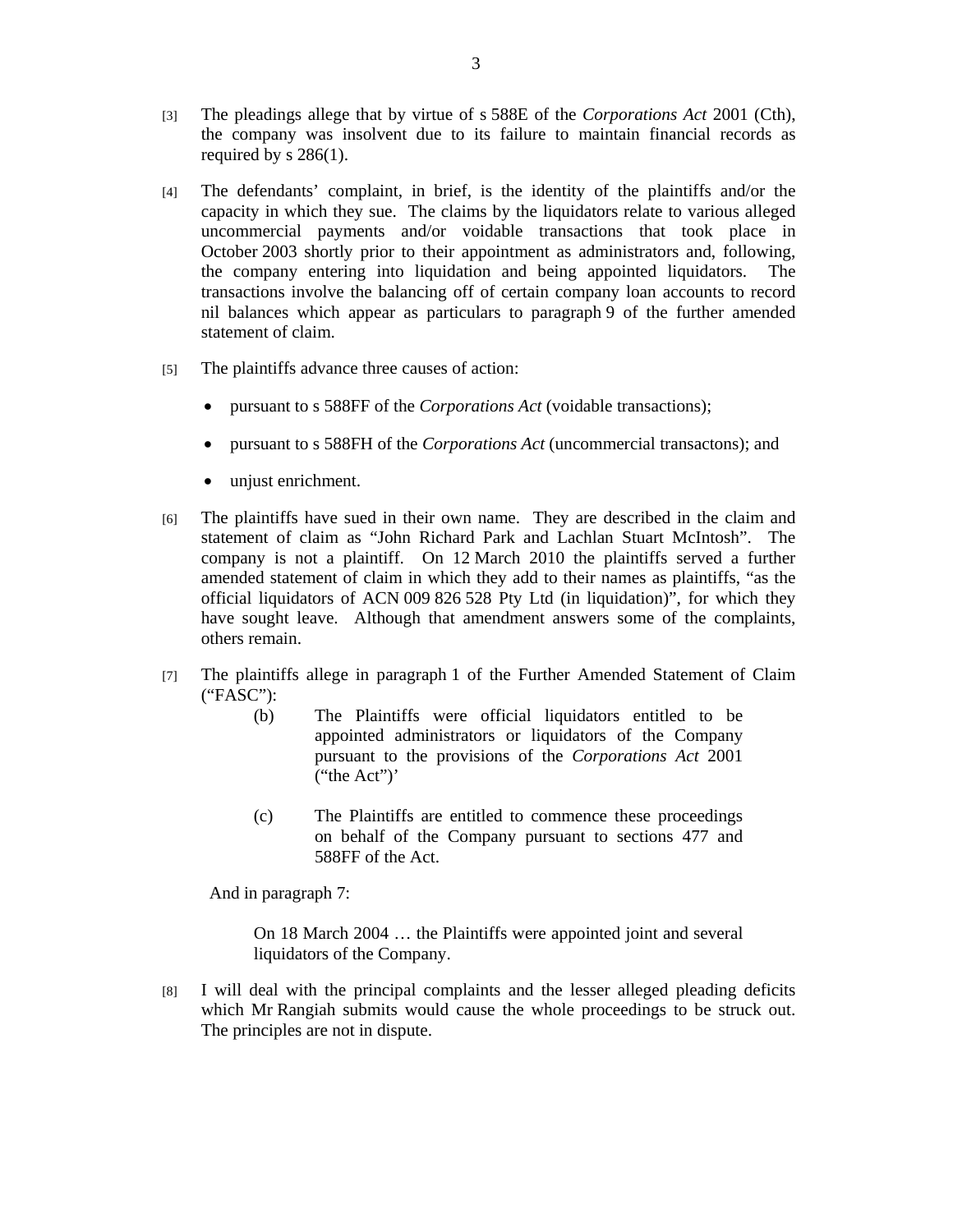- [3] The pleadings allege that by virtue of s 588E of the *Corporations Act* 2001 (Cth), the company was insolvent due to its failure to maintain financial records as required by s 286(1).
- [4] The defendants' complaint, in brief, is the identity of the plaintiffs and/or the capacity in which they sue. The claims by the liquidators relate to various alleged uncommercial payments and/or voidable transactions that took place in October 2003 shortly prior to their appointment as administrators and, following, the company entering into liquidation and being appointed liquidators. The transactions involve the balancing off of certain company loan accounts to record nil balances which appear as particulars to paragraph 9 of the further amended statement of claim.
- [5] The plaintiffs advance three causes of action:
	- pursuant to s 588FF of the *Corporations Act* (voidable transactions);
	- pursuant to s 588FH of the *Corporations Act* (uncommercial transactons); and
	- unjust enrichment.
- [6] The plaintiffs have sued in their own name. They are described in the claim and statement of claim as "John Richard Park and Lachlan Stuart McIntosh". The company is not a plaintiff. On 12 March 2010 the plaintiffs served a further amended statement of claim in which they add to their names as plaintiffs, "as the official liquidators of ACN 009 826 528 Pty Ltd (in liquidation)", for which they have sought leave. Although that amendment answers some of the complaints, others remain.
- [7] The plaintiffs allege in paragraph 1 of the Further Amended Statement of Claim ("FASC"):
	- (b) The Plaintiffs were official liquidators entitled to be appointed administrators or liquidators of the Company pursuant to the provisions of the *Corporations Act* 2001 ("the Act")'
	- (c) The Plaintiffs are entitled to commence these proceedings on behalf of the Company pursuant to sections 477 and 588FF of the Act.

And in paragraph 7:

On 18 March 2004 … the Plaintiffs were appointed joint and several liquidators of the Company.

[8] I will deal with the principal complaints and the lesser alleged pleading deficits which Mr Rangiah submits would cause the whole proceedings to be struck out. The principles are not in dispute.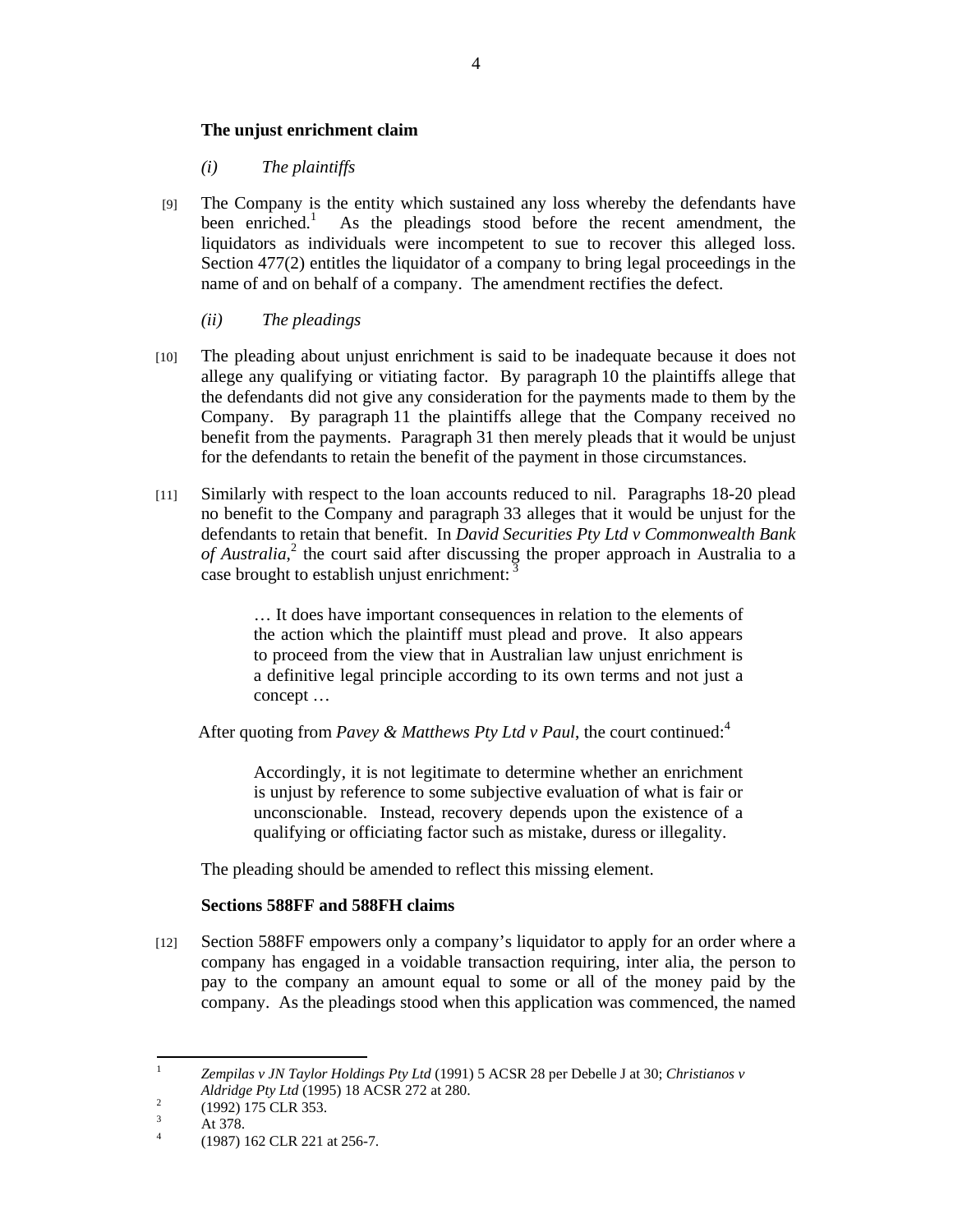## **The unjust enrichment claim**

*(i) The plaintiffs*

- [9] The Company is the entity which sustained any loss whereby the defendants have been enriched.<sup>1</sup> As the pleadings stood before the recent amendment, the liquidators as individuals were incompetent to sue to recover this alleged loss. Section 477(2) entitles the liquidator of a company to bring legal proceedings in the name of and on behalf of a company. The amendment rectifies the defect.
	- *(ii) The pleadings*
- [10] The pleading about unjust enrichment is said to be inadequate because it does not allege any qualifying or vitiating factor. By paragraph 10 the plaintiffs allege that the defendants did not give any consideration for the payments made to them by the Company. By paragraph 11 the plaintiffs allege that the Company received no benefit from the payments. Paragraph 31 then merely pleads that it would be unjust for the defendants to retain the benefit of the payment in those circumstances.
- [11] Similarly with respect to the loan accounts reduced to nil. Paragraphs 18-20 plead no benefit to the Company and paragraph 33 alleges that it would be unjust for the defendants to retain that benefit. In *David Securities Pty Ltd v Commonwealth Bank*  of Australia,<sup>2</sup> the court said after discussing the proper approach in Australia to a case brought to establish unjust enrichment:  $\frac{3}{5}$

… It does have important consequences in relation to the elements of the action which the plaintiff must plead and prove. It also appears to proceed from the view that in Australian law unjust enrichment is a definitive legal principle according to its own terms and not just a concept …

After quoting from *Pavey & Matthews Pty Ltd v Paul*, the court continued:<sup>4</sup>

Accordingly, it is not legitimate to determine whether an enrichment is unjust by reference to some subjective evaluation of what is fair or unconscionable. Instead, recovery depends upon the existence of a qualifying or officiating factor such as mistake, duress or illegality.

The pleading should be amended to reflect this missing element.

## **Sections 588FF and 588FH claims**

[12] Section 588FF empowers only a company's liquidator to apply for an order where a company has engaged in a voidable transaction requiring, inter alia, the person to pay to the company an amount equal to some or all of the money paid by the company. As the pleadings stood when this application was commenced, the named

 $\frac{1}{1}$  *Zempilas v JN Taylor Holdings Pty Ltd* (1991) 5 ACSR 28 per Debelle J at 30; *Christianos v Aldridge Pty Ltd* (1995) 18 ACSR 272 at 280.

 <sup>(1992) 175</sup> CLR 353.

<sup>3</sup> At 378.

<sup>4</sup> (1987) 162 CLR 221 at 256-7.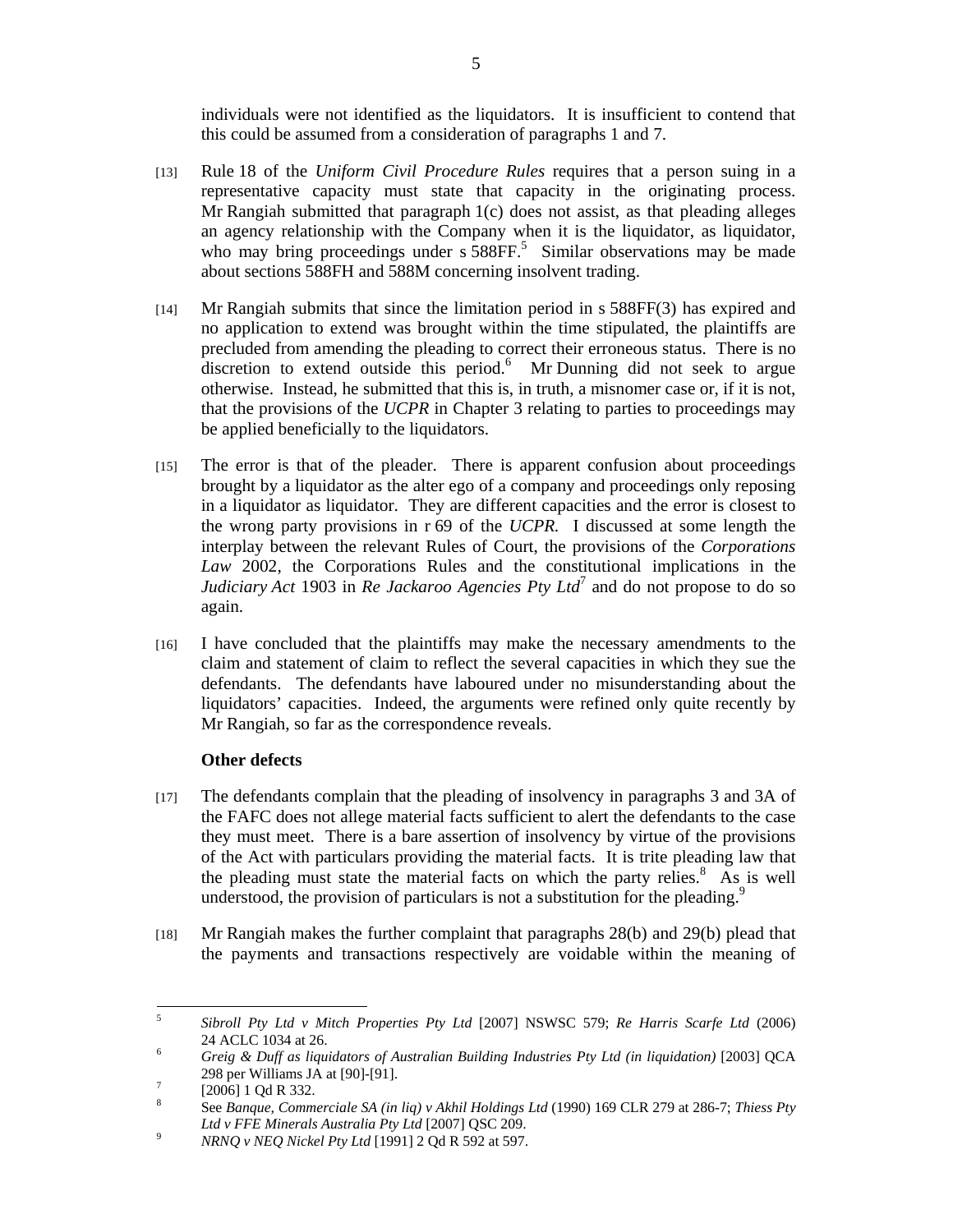individuals were not identified as the liquidators. It is insufficient to contend that this could be assumed from a consideration of paragraphs 1 and 7.

- [13] Rule 18 of the *Uniform Civil Procedure Rules* requires that a person suing in a representative capacity must state that capacity in the originating process. Mr Rangiah submitted that paragraph 1(c) does not assist, as that pleading alleges an agency relationship with the Company when it is the liquidator, as liquidator, who may bring proceedings under s 588FF.<sup>5</sup> Similar observations may be made about sections 588FH and 588M concerning insolvent trading.
- [14] Mr Rangiah submits that since the limitation period in s 588FF(3) has expired and no application to extend was brought within the time stipulated, the plaintiffs are precluded from amending the pleading to correct their erroneous status. There is no  $\overline{a}$  discretion to extend outside this period.<sup>6</sup> Mr Dunning did not seek to argue otherwise. Instead, he submitted that this is, in truth, a misnomer case or, if it is not, that the provisions of the *UCPR* in Chapter 3 relating to parties to proceedings may be applied beneficially to the liquidators.
- [15] The error is that of the pleader. There is apparent confusion about proceedings brought by a liquidator as the alter ego of a company and proceedings only reposing in a liquidator as liquidator. They are different capacities and the error is closest to the wrong party provisions in r 69 of the *UCPR.* I discussed at some length the interplay between the relevant Rules of Court, the provisions of the *Corporations Law* 2002, the Corporations Rules and the constitutional implications in the *Judiciary Act* 1903 in *Re Jackaroo Agencies Pty Ltd*<sup>7</sup> and do not propose to do so again.
- [16] I have concluded that the plaintiffs may make the necessary amendments to the claim and statement of claim to reflect the several capacities in which they sue the defendants. The defendants have laboured under no misunderstanding about the liquidators' capacities. Indeed, the arguments were refined only quite recently by Mr Rangiah, so far as the correspondence reveals.

## **Other defects**

- [17] The defendants complain that the pleading of insolvency in paragraphs 3 and 3A of the FAFC does not allege material facts sufficient to alert the defendants to the case they must meet. There is a bare assertion of insolvency by virtue of the provisions of the Act with particulars providing the material facts. It is trite pleading law that the pleading must state the material facts on which the party relies. $8\text{ As}$  is well understood, the provision of particulars is not a substitution for the pleading.<sup>9</sup>
- [18] Mr Rangiah makes the further complaint that paragraphs 28(b) and 29(b) plead that the payments and transactions respectively are voidable within the meaning of

 5 *Sibroll Pty Ltd v Mitch Properties Pty Ltd* [2007] NSWSC 579; *Re Harris Scarfe Ltd* (2006) 24 ACLC 1034 at 26.

*Greig & Duff as liquidators of Australian Building Industries Pty Ltd (in liquidation)* [2003] QCA 298 per Williams JA at [90]-[91].

 <sup>[2006] 1</sup> Qd R 332.

<sup>8</sup> See *Banque, Commerciale SA (in liq) v Akhil Holdings Ltd* (1990) 169 CLR 279 at 286-7; *Thiess Pty Ltd v FFE Minerals Australia Pty Ltd* [2007] QSC 209.<br><sup>9</sup> *MBMO w MFO Night Ltd* [10011.2 Qd B 502 at 507

*NRNQ v NEQ Nickel Pty Ltd* [1991] 2 Qd R 592 at 597.